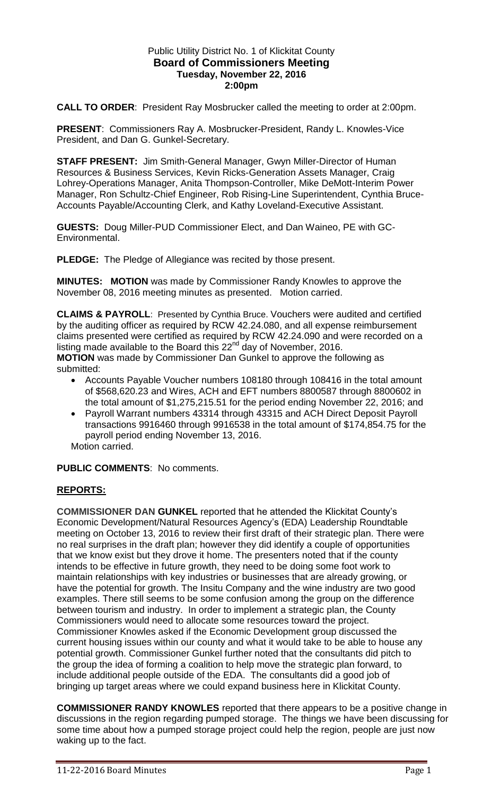## Public Utility District No. 1 of Klickitat County **Board of Commissioners Meeting Tuesday, November 22, 2016 2:00pm**

**CALL TO ORDER**: President Ray Mosbrucker called the meeting to order at 2:00pm.

**PRESENT**: Commissioners Ray A. Mosbrucker-President, Randy L. Knowles-Vice President, and Dan G. Gunkel-Secretary.

**STAFF PRESENT:** Jim Smith-General Manager, Gwyn Miller-Director of Human Resources & Business Services, Kevin Ricks-Generation Assets Manager, Craig Lohrey-Operations Manager, Anita Thompson-Controller, Mike DeMott-Interim Power Manager, Ron Schultz-Chief Engineer, Rob Rising-Line Superintendent, Cynthia Bruce-Accounts Payable/Accounting Clerk, and Kathy Loveland-Executive Assistant.

**GUESTS:** Doug Miller-PUD Commissioner Elect, and Dan Waineo, PE with GC-Environmental.

**PLEDGE:** The Pledge of Allegiance was recited by those present.

**MINUTES: MOTION** was made by Commissioner Randy Knowles to approve the November 08, 2016 meeting minutes as presented. Motion carried.

**CLAIMS & PAYROLL**: Presented by Cynthia Bruce. Vouchers were audited and certified by the auditing officer as required by RCW 42.24.080, and all expense reimbursement claims presented were certified as required by RCW 42.24.090 and were recorded on a listing made available to the Board this  $22<sup>nd</sup>$  day of November, 2016. **MOTION** was made by Commissioner Dan Gunkel to approve the following as submitted:

- Accounts Payable Voucher numbers 108180 through 108416 in the total amount of \$568,620.23 and Wires, ACH and EFT numbers 8800587 through 8800602 in the total amount of \$1,275,215.51 for the period ending November 22, 2016; and
- Payroll Warrant numbers 43314 through 43315 and ACH Direct Deposit Payroll transactions 9916460 through 9916538 in the total amount of \$174,854.75 for the payroll period ending November 13, 2016. Motion carried.

**PUBLIC COMMENTS**: No comments.

## **REPORTS:**

**COMMISSIONER DAN GUNKEL** reported that he attended the Klickitat County's Economic Development/Natural Resources Agency's (EDA) Leadership Roundtable meeting on October 13, 2016 to review their first draft of their strategic plan. There were no real surprises in the draft plan; however they did identify a couple of opportunities that we know exist but they drove it home. The presenters noted that if the county intends to be effective in future growth, they need to be doing some foot work to maintain relationships with key industries or businesses that are already growing, or have the potential for growth. The Insitu Company and the wine industry are two good examples. There still seems to be some confusion among the group on the difference between tourism and industry. In order to implement a strategic plan, the County Commissioners would need to allocate some resources toward the project. Commissioner Knowles asked if the Economic Development group discussed the current housing issues within our county and what it would take to be able to house any potential growth. Commissioner Gunkel further noted that the consultants did pitch to the group the idea of forming a coalition to help move the strategic plan forward, to include additional people outside of the EDA. The consultants did a good job of bringing up target areas where we could expand business here in Klickitat County.

**COMMISSIONER RANDY KNOWLES** reported that there appears to be a positive change in discussions in the region regarding pumped storage. The things we have been discussing for some time about how a pumped storage project could help the region, people are just now waking up to the fact.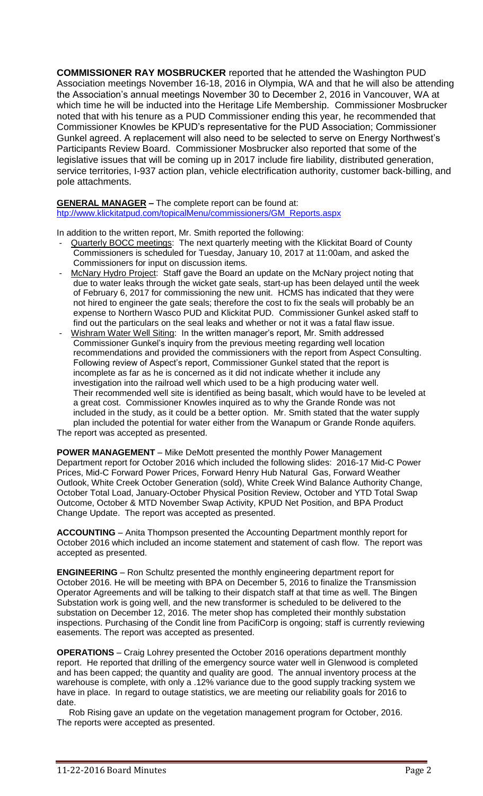**COMMISSIONER RAY MOSBRUCKER** reported that he attended the Washington PUD Association meetings November 16-18, 2016 in Olympia, WA and that he will also be attending the Association's annual meetings November 30 to December 2, 2016 in Vancouver, WA at which time he will be inducted into the Heritage Life Membership. Commissioner Mosbrucker noted that with his tenure as a PUD Commissioner ending this year, he recommended that Commissioner Knowles be KPUD's representative for the PUD Association; Commissioner Gunkel agreed. A replacement will also need to be selected to serve on Energy Northwest's Participants Review Board. Commissioner Mosbrucker also reported that some of the legislative issues that will be coming up in 2017 include fire liability, distributed generation, service territories, I-937 action plan, vehicle electrification authority, customer back-billing, and pole attachments.

## **GENERAL MANAGER –** The complete report can be found at:

[htp://www.klickitatpud.com/topicalMenu/commissioners/GM\\_Reports.aspx](http://www.klickitatpud.com/topicalMenu/commissioners/GM_Reports.aspx)

In addition to the written report, Mr. Smith reported the following:

- Quarterly BOCC meetings: The next quarterly meeting with the Klickitat Board of County Commissioners is scheduled for Tuesday, January 10, 2017 at 11:00am, and asked the Commissioners for input on discussion items.
- McNary Hydro Project: Staff gave the Board an update on the McNary project noting that due to water leaks through the wicket gate seals, start-up has been delayed until the week of February 6, 2017 for commissioning the new unit. HCMS has indicated that they were not hired to engineer the gate seals; therefore the cost to fix the seals will probably be an expense to Northern Wasco PUD and Klickitat PUD. Commissioner Gunkel asked staff to find out the particulars on the seal leaks and whether or not it was a fatal flaw issue.
- Wishram Water Well Siting: In the written manager's report, Mr. Smith addressed Commissioner Gunkel's inquiry from the previous meeting regarding well location recommendations and provided the commissioners with the report from Aspect Consulting. Following review of Aspect's report, Commissioner Gunkel stated that the report is incomplete as far as he is concerned as it did not indicate whether it include any investigation into the railroad well which used to be a high producing water well. Their recommended well site is identified as being basalt, which would have to be leveled at a great cost. Commissioner Knowles inquired as to why the Grande Ronde was not included in the study, as it could be a better option. Mr. Smith stated that the water supply plan included the potential for water either from the Wanapum or Grande Ronde aquifers. The report was accepted as presented.

**POWER MANAGEMENT** – Mike DeMott presented the monthly Power Management Department report for October 2016 which included the following slides: 2016-17 Mid-C Power Prices, Mid-C Forward Power Prices, Forward Henry Hub Natural Gas, Forward Weather Outlook, White Creek October Generation (sold), White Creek Wind Balance Authority Change, October Total Load, January-October Physical Position Review, October and YTD Total Swap Outcome, October & MTD November Swap Activity, KPUD Net Position, and BPA Product Change Update. The report was accepted as presented.

**ACCOUNTING** – Anita Thompson presented the Accounting Department monthly report for October 2016 which included an income statement and statement of cash flow. The report was accepted as presented.

**ENGINEERING** – Ron Schultz presented the monthly engineering department report for October 2016. He will be meeting with BPA on December 5, 2016 to finalize the Transmission Operator Agreements and will be talking to their dispatch staff at that time as well. The Bingen Substation work is going well, and the new transformer is scheduled to be delivered to the substation on December 12, 2016. The meter shop has completed their monthly substation inspections. Purchasing of the Condit line from PacifiCorp is ongoing; staff is currently reviewing easements. The report was accepted as presented.

**OPERATIONS** – Craig Lohrey presented the October 2016 operations department monthly report. He reported that drilling of the emergency source water well in Glenwood is completed and has been capped; the quantity and quality are good. The annual inventory process at the warehouse is complete, with only a .12% variance due to the good supply tracking system we have in place. In regard to outage statistics, we are meeting our reliability goals for 2016 to date.

 Rob Rising gave an update on the vegetation management program for October, 2016. The reports were accepted as presented.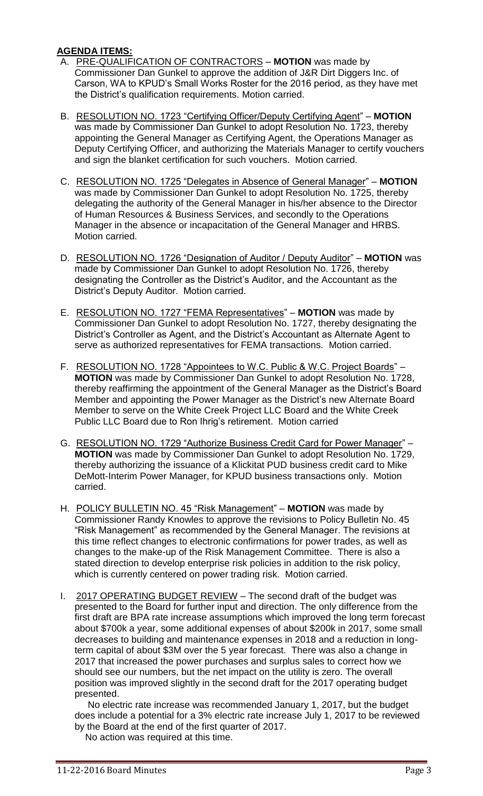## **AGENDA ITEMS:**

- A. PRE-QUALIFICATION OF CONTRACTORS **MOTION** was made by Commissioner Dan Gunkel to approve the addition of J&R Dirt Diggers Inc. of Carson, WA to KPUD's Small Works Roster for the 2016 period, as they have met the District's qualification requirements. Motion carried.
- B. RESOLUTION NO. 1723 "Certifying Officer/Deputy Certifying Agent" **MOTION** was made by Commissioner Dan Gunkel to adopt Resolution No. 1723, thereby appointing the General Manager as Certifying Agent, the Operations Manager as Deputy Certifying Officer, and authorizing the Materials Manager to certify vouchers and sign the blanket certification for such vouchers. Motion carried.
- C. RESOLUTION NO. 1725 "Delegates in Absence of General Manager" **MOTION** was made by Commissioner Dan Gunkel to adopt Resolution No. 1725, thereby delegating the authority of the General Manager in his/her absence to the Director of Human Resources & Business Services, and secondly to the Operations Manager in the absence or incapacitation of the General Manager and HRBS. Motion carried.
- D. RESOLUTION NO. 1726 "Designation of Auditor / Deputy Auditor" **MOTION** was made by Commissioner Dan Gunkel to adopt Resolution No. 1726, thereby designating the Controller as the District's Auditor, and the Accountant as the District's Deputy Auditor. Motion carried.
- E. RESOLUTION NO. 1727 "FEMA Representatives" **MOTION** was made by Commissioner Dan Gunkel to adopt Resolution No. 1727, thereby designating the District's Controller as Agent, and the District's Accountant as Alternate Agent to serve as authorized representatives for FEMA transactions. Motion carried.
- F. RESOLUTION NO. 1728 "Appointees to W.C. Public & W.C. Project Boards" **MOTION** was made by Commissioner Dan Gunkel to adopt Resolution No. 1728, thereby reaffirming the appointment of the General Manager as the District's Board Member and appointing the Power Manager as the District's new Alternate Board Member to serve on the White Creek Project LLC Board and the White Creek Public LLC Board due to Ron Ihrig's retirement. Motion carried
- G. RESOLUTION NO. 1729 "Authorize Business Credit Card for Power Manager" **MOTION** was made by Commissioner Dan Gunkel to adopt Resolution No. 1729, thereby authorizing the issuance of a Klickitat PUD business credit card to Mike DeMott-Interim Power Manager, for KPUD business transactions only. Motion carried.
- H. POLICY BULLETIN NO. 45 "Risk Management" **MOTION** was made by Commissioner Randy Knowles to approve the revisions to Policy Bulletin No. 45 "Risk Management" as recommended by the General Manager. The revisions at this time reflect changes to electronic confirmations for power trades, as well as changes to the make-up of the Risk Management Committee. There is also a stated direction to develop enterprise risk policies in addition to the risk policy, which is currently centered on power trading risk. Motion carried.
- I. 2017 OPERATING BUDGET REVIEW The second draft of the budget was presented to the Board for further input and direction. The only difference from the first draft are BPA rate increase assumptions which improved the long term forecast about \$700k a year, some additional expenses of about \$200k in 2017, some small decreases to building and maintenance expenses in 2018 and a reduction in longterm capital of about \$3M over the 5 year forecast. There was also a change in 2017 that increased the power purchases and surplus sales to correct how we should see our numbers, but the net impact on the utility is zero. The overall position was improved slightly in the second draft for the 2017 operating budget presented.

 No electric rate increase was recommended January 1, 2017, but the budget does include a potential for a 3% electric rate increase July 1, 2017 to be reviewed by the Board at the end of the first quarter of 2017.

No action was required at this time.